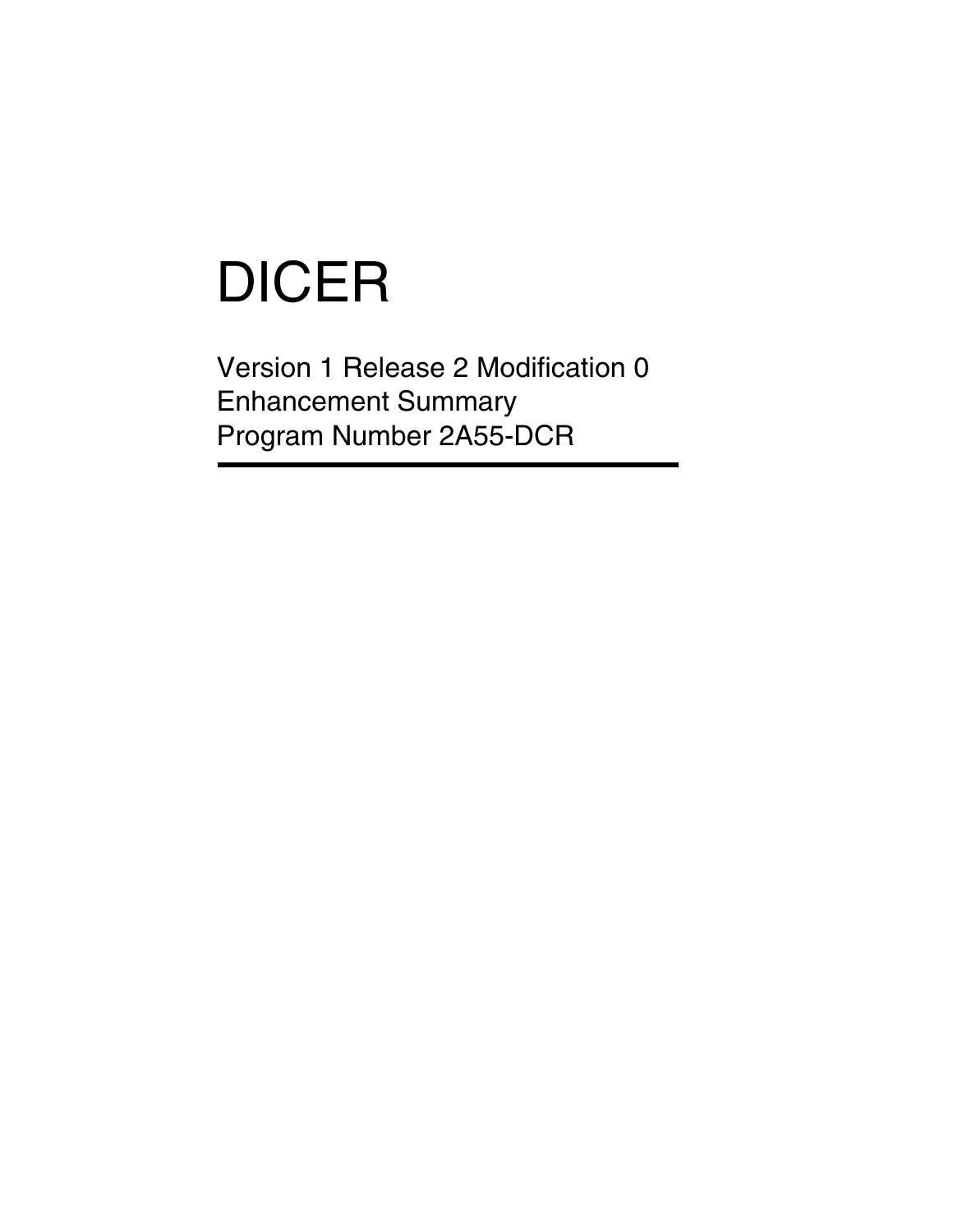# DICER

Version 1 Release 2 Modification 0 Enhancement Summary Program Number 2A55-DCR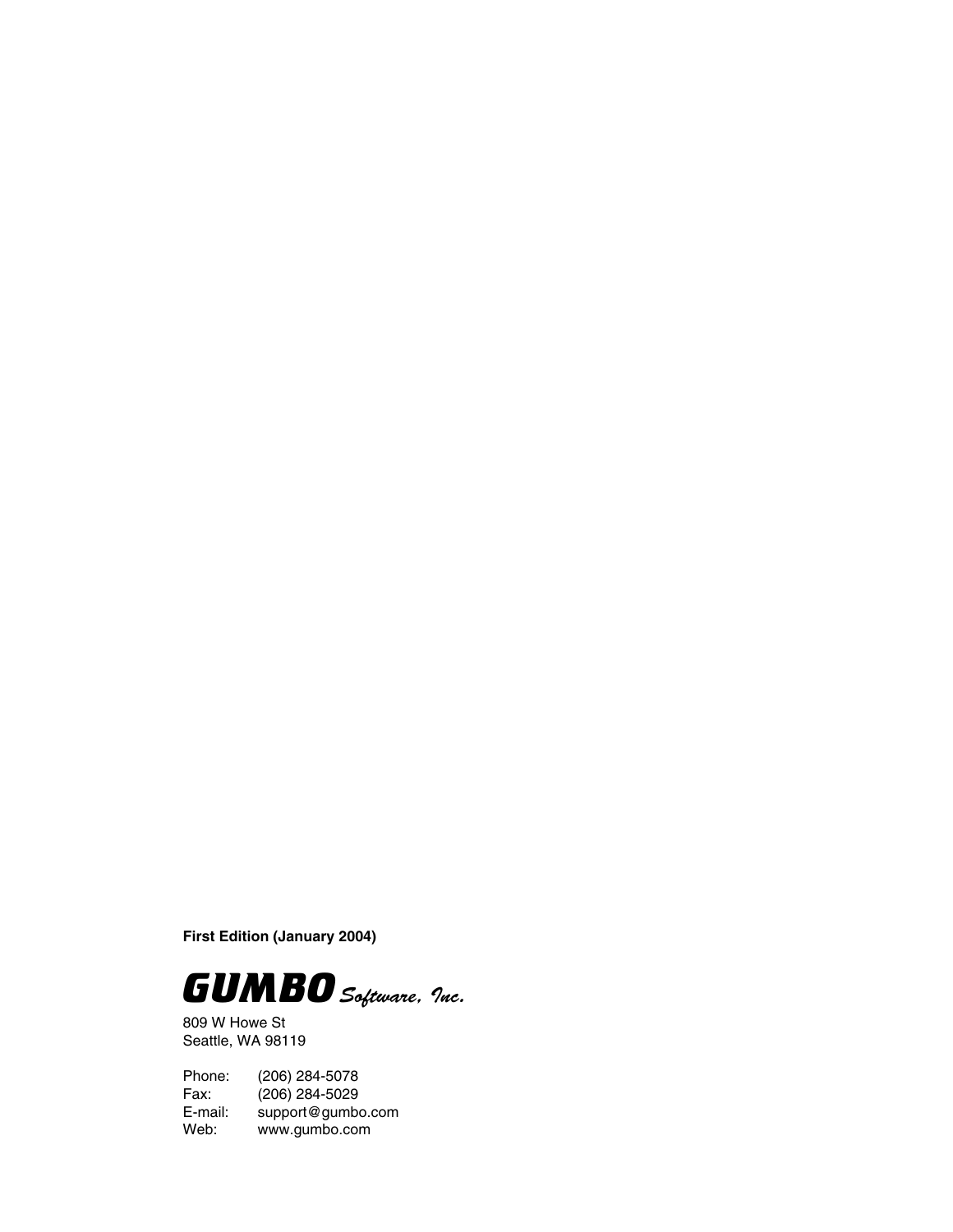**First Edition (January 2004)**



809 W Howe St Seattle, WA 98119

Phone: (206) 284-5078 Fax: (206) 284-5029<br>E-mail: support@gumb E-mail: support@gumbo.com<br>Web: www.gumbo.com www.gumbo.com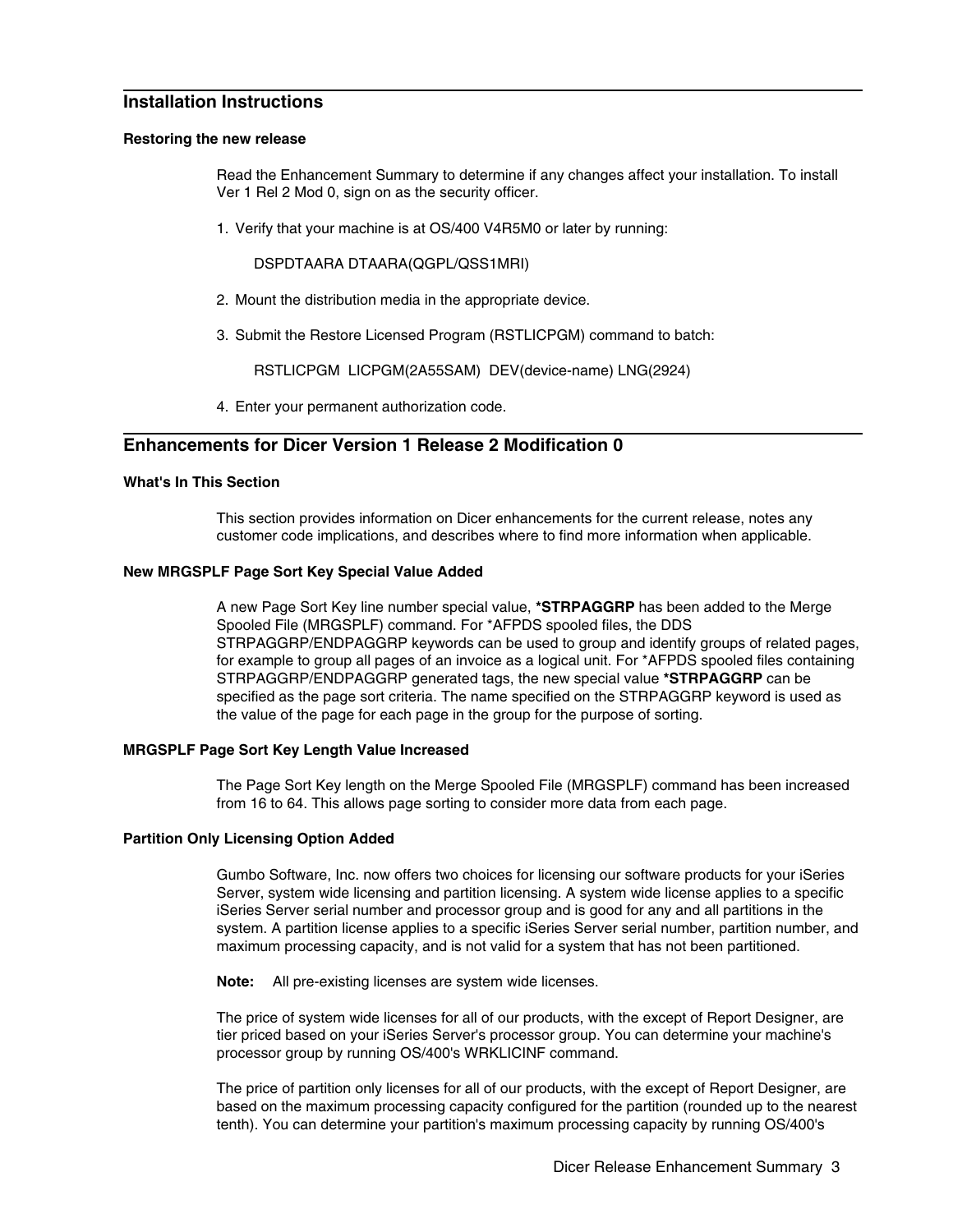## **Installation Instructions**

#### **Restoring the new release**

Read the Enhancement Summary to determine if any changes affect your installation. To install Ver 1 Rel 2 Mod 0, sign on as the security officer.

1. Verify that your machine is at OS/400 V4R5M0 or later by running:

DSPDTAARA DTAARA(QGPL/QSS1MRI)

- 2. Mount the distribution media in the appropriate device.
- 3. Submit the Restore Licensed Program (RSTLICPGM) command to batch:

RSTLICPGM LICPGM(2A55SAM) DEV(device-name) LNG(2924)

4. Enter your permanent authorization code.

### **Enhancements for Dicer Version 1 Release 2 Modification 0**

#### **What's In This Section**

This section provides information on Dicer enhancements for the current release, notes any customer code implications, and describes where to find more information when applicable.

#### **New MRGSPLF Page Sort Key Special Value Added**

A new Page Sort Key line number special value, **\*STRPAGGRP** has been added to the Merge Spooled File (MRGSPLF) command. For \*AFPDS spooled files, the DDS STRPAGGRP/ENDPAGGRP keywords can be used to group and identify groups of related pages, for example to group all pages of an invoice as a logical unit. For \*AFPDS spooled files containing STRPAGGRP/ENDPAGGRP generated tags, the new special value **\*STRPAGGRP** can be specified as the page sort criteria. The name specified on the STRPAGGRP keyword is used as the value of the page for each page in the group for the purpose of sorting.

#### **MRGSPLF Page Sort Key Length Value Increased**

The Page Sort Key length on the Merge Spooled File (MRGSPLF) command has been increased from 16 to 64. This allows page sorting to consider more data from each page.

#### **Partition Only Licensing Option Added**

Gumbo Software, Inc. now offers two choices for licensing our software products for your iSeries Server, system wide licensing and partition licensing. A system wide license applies to a specific iSeries Server serial number and processor group and is good for any and all partitions in the system. A partition license applies to a specific iSeries Server serial number, partition number, and maximum processing capacity, and is not valid for a system that has not been partitioned.

**Note:** All pre-existing licenses are system wide licenses.

The price of system wide licenses for all of our products, with the except of Report Designer, are tier priced based on your iSeries Server's processor group. You can determine your machine's processor group by running OS/400's WRKLICINF command.

The price of partition only licenses for all of our products, with the except of Report Designer, are based on the maximum processing capacity configured for the partition (rounded up to the nearest tenth). You can determine your partition's maximum processing capacity by running OS/400's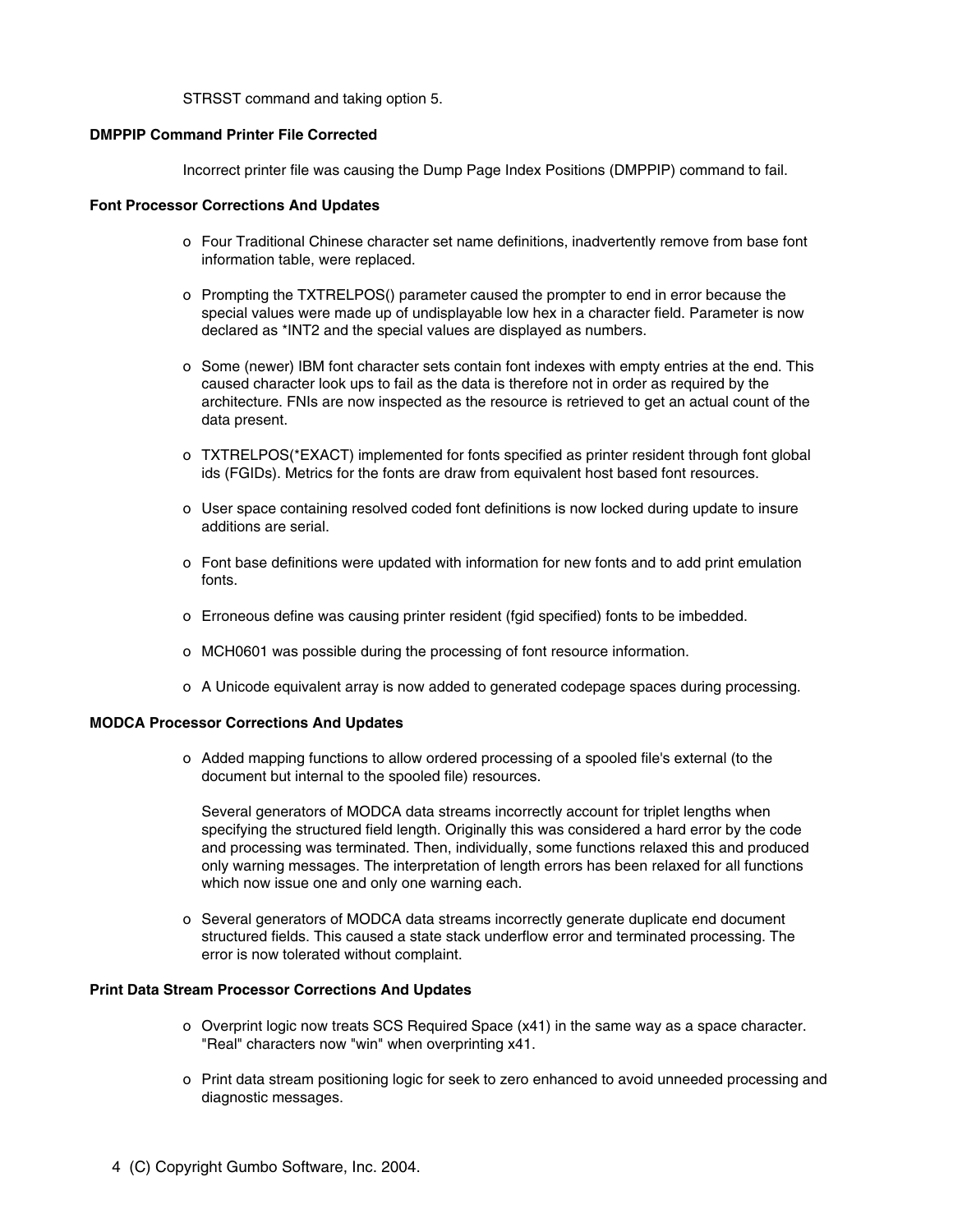STRSST command and taking option 5.

#### **DMPPIP Command Printer File Corrected**

Incorrect printer file was causing the Dump Page Index Positions (DMPPIP) command to fail.

#### **Font Processor Corrections And Updates**

- o Four Traditional Chinese character set name definitions, inadvertently remove from base font information table, were replaced.
- o Prompting the TXTRELPOS() parameter caused the prompter to end in error because the special values were made up of undisplayable low hex in a character field. Parameter is now declared as \*INT2 and the special values are displayed as numbers.
- o Some (newer) IBM font character sets contain font indexes with empty entries at the end. This caused character look ups to fail as the data is therefore not in order as required by the architecture. FNIs are now inspected as the resource is retrieved to get an actual count of the data present.
- o TXTRELPOS(\*EXACT) implemented for fonts specified as printer resident through font global ids (FGIDs). Metrics for the fonts are draw from equivalent host based font resources.
- o User space containing resolved coded font definitions is now locked during update to insure additions are serial.
- o Font base definitions were updated with information for new fonts and to add print emulation fonts.
- o Erroneous define was causing printer resident (fgid specified) fonts to be imbedded.
- o MCH0601 was possible during the processing of font resource information.
- o A Unicode equivalent array is now added to generated codepage spaces during processing.

#### **MODCA Processor Corrections And Updates**

o Added mapping functions to allow ordered processing of a spooled file's external (to the document but internal to the spooled file) resources.

Several generators of MODCA data streams incorrectly account for triplet lengths when specifying the structured field length. Originally this was considered a hard error by the code and processing was terminated. Then, individually, some functions relaxed this and produced only warning messages. The interpretation of length errors has been relaxed for all functions which now issue one and only one warning each.

o Several generators of MODCA data streams incorrectly generate duplicate end document structured fields. This caused a state stack underflow error and terminated processing. The error is now tolerated without complaint.

#### **Print Data Stream Processor Corrections And Updates**

- o Overprint logic now treats SCS Required Space (x41) in the same way as a space character. "Real" characters now "win" when overprinting x41.
- o Print data stream positioning logic for seek to zero enhanced to avoid unneeded processing and diagnostic messages.
- 4 (C) Copyright Gumbo Software, Inc. 2004.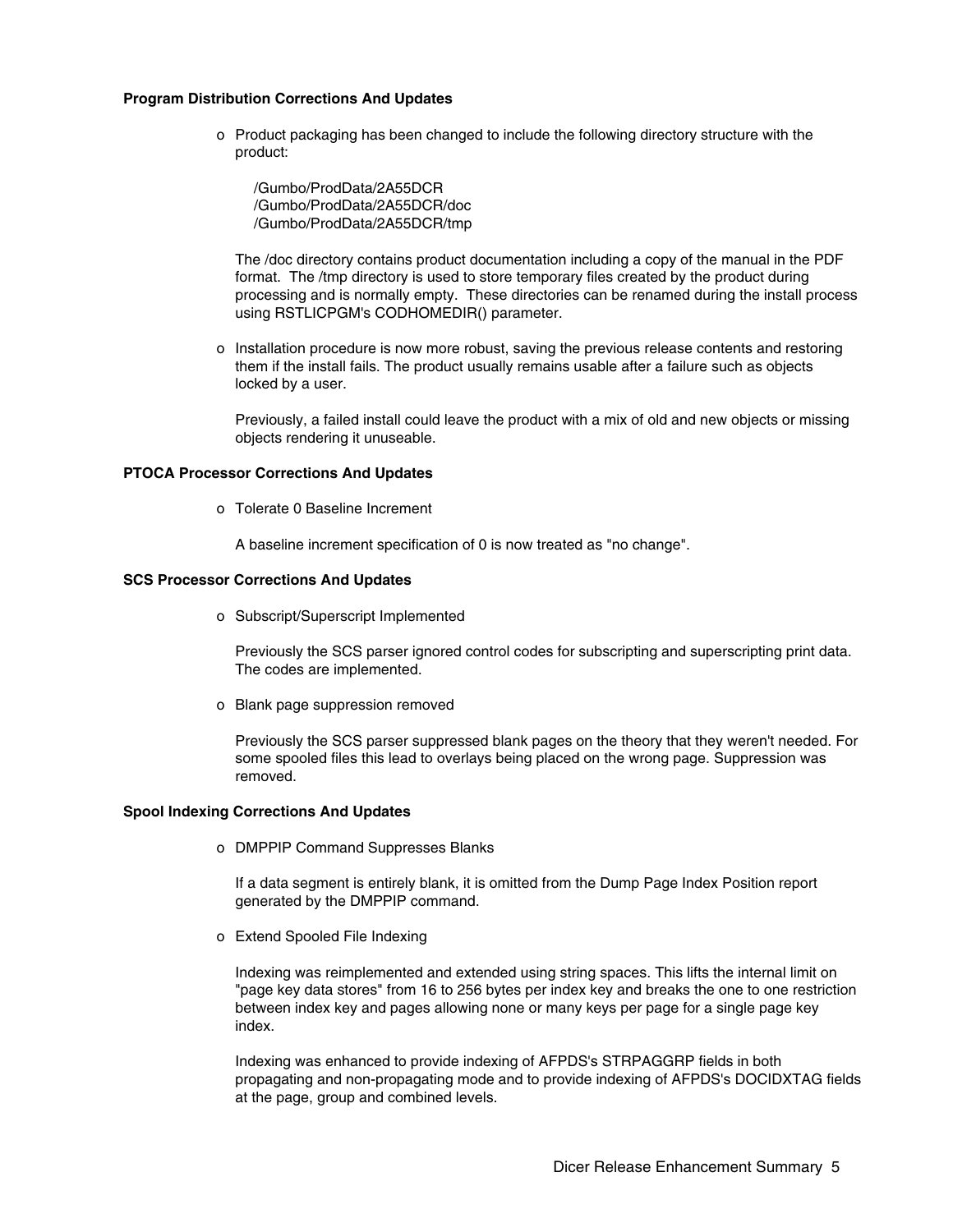#### **Program Distribution Corrections And Updates**

o Product packaging has been changed to include the following directory structure with the product:

/Gumbo/ProdData/2A55DCR /Gumbo/ProdData/2A55DCR/doc /Gumbo/ProdData/2A55DCR/tmp

The /doc directory contains product documentation including a copy of the manual in the PDF format. The /tmp directory is used to store temporary files created by the product during processing and is normally empty. These directories can be renamed during the install process using RSTLICPGM's CODHOMEDIR() parameter.

o Installation procedure is now more robust, saving the previous release contents and restoring them if the install fails. The product usually remains usable after a failure such as objects locked by a user.

Previously, a failed install could leave the product with a mix of old and new objects or missing objects rendering it unuseable.

#### **PTOCA Processor Corrections And Updates**

o Tolerate 0 Baseline Increment

A baseline increment specification of 0 is now treated as "no change".

#### **SCS Processor Corrections And Updates**

o Subscript/Superscript Implemented

Previously the SCS parser ignored control codes for subscripting and superscripting print data. The codes are implemented.

o Blank page suppression removed

Previously the SCS parser suppressed blank pages on the theory that they weren't needed. For some spooled files this lead to overlays being placed on the wrong page. Suppression was removed.

#### **Spool Indexing Corrections And Updates**

o DMPPIP Command Suppresses Blanks

If a data segment is entirely blank, it is omitted from the Dump Page Index Position report generated by the DMPPIP command.

o Extend Spooled File Indexing

Indexing was reimplemented and extended using string spaces. This lifts the internal limit on "page key data stores" from 16 to 256 bytes per index key and breaks the one to one restriction between index key and pages allowing none or many keys per page for a single page key index.

Indexing was enhanced to provide indexing of AFPDS's STRPAGGRP fields in both propagating and non-propagating mode and to provide indexing of AFPDS's DOCIDXTAG fields at the page, group and combined levels.